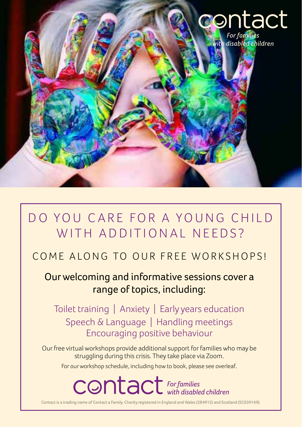

# DO YOU CARE FOR A YOUNG CHILD WITH ADDITIONAL NEEDS?

## COME ALONG TO OUR FREE WORKSHOPS!

### Our welcoming and informative sessions cover a range of topics, including:

Toilet training | Anxiety | Early years education Speech & Language | Handling meetings Encouraging positive behaviour

Our free virtual workshops provide additional support for families who may be struggling during this crisis. They take place via Zoom.

For our workshop schedule, including how to book, please see overleaf.

**CONTACT** For families

Contact is a trading name of Contact a Family. Charity registered in England and Wales (284912) and Scotland (SC039169).